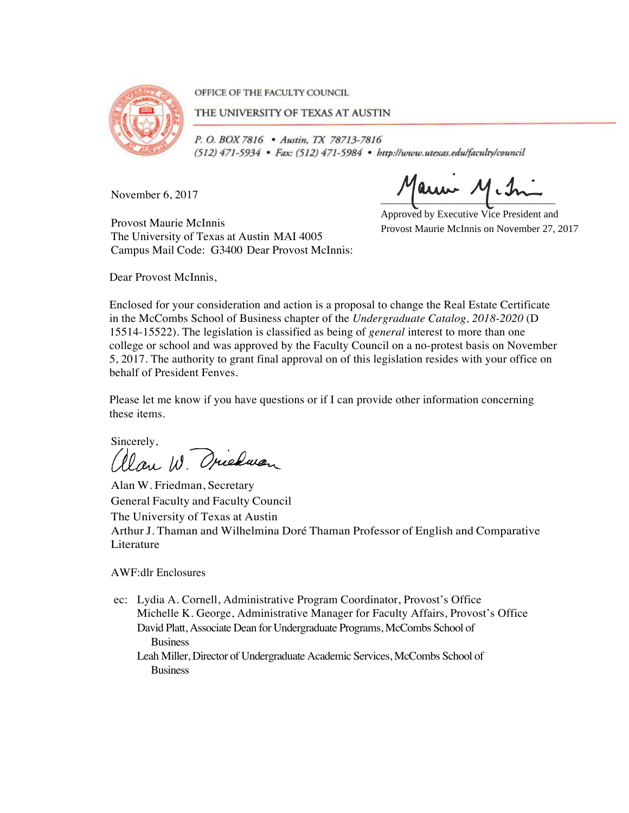

OFFICE OF THE FACULTY COUNCIL

THE UNIVERSITY OF TEXAS AT AUSTIN

P. O. BOX 7816 . Austin, TX 78713-7816 (512) 471-5934 · Fax: (512) 471-5984 · http://www.utexas.edu/faculty/council

November 6, 2017

Maun M.h

Provost Maurie McInnis The University of Texas at Austin MAI 4005 Campus Mail Code: G3400 Dear Provost McInnis:

Approved by Executive Vice President and Provost Maurie McInnis on November 27, 2017

Dear Provost McInnis,

Enclosed for your consideration and action is a proposal to change the Real Estate Certificate in the McCombs School of Business chapter of the *Undergraduate Catalog, 2018-2020* (D 15514-15522). The legislation is classified as being of *general* interest to more than one college or school and was approved by the Faculty Council on a no-protest basis on November 5, 2017. The authority to grant final approval on of this legislation resides with your office on behalf of President Fenves.

Please let me know if you have questions or if I can provide other information concerning these items.

Sincerely, alan W. Oriedwan

Alan W. Friedman, Secretary General Faculty and Faculty Council The University of Texas at Austin Arthur J. Thaman and Wilhelmina Doré Thaman Professor of English and Comparative Literature

AWF:dlr Enclosures

ec: Lydia A. Cornell, Administrative Program Coordinator, Provost's Office Michelle K. George, Administrative Manager for Faculty Affairs, Provost's Office David Platt, Associate Dean for Undergraduate Programs, McCombs School of **Business** 

Leah Miller, Director of Undergraduate Academic Services, McCombs School of Business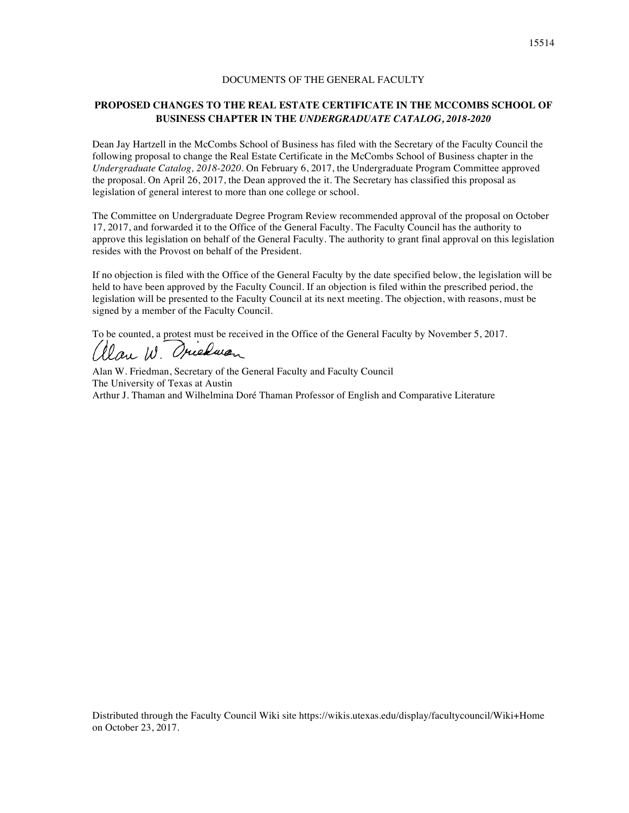### DOCUMENTS OF THE GENERAL FACULTY

# **PROPOSED CHANGES TO THE REAL ESTATE CERTIFICATE IN THE MCCOMBS SCHOOL OF BUSINESS CHAPTER IN THE** *UNDERGRADUATE CATALOG, 2018-2020*

Dean Jay Hartzell in the McCombs School of Business has filed with the Secretary of the Faculty Council the following proposal to change the Real Estate Certificate in the McCombs School of Business chapter in the *Undergraduate Catalog, 2018-2020*. On February 6, 2017, the Undergraduate Program Committee approved the proposal. On April 26, 2017, the Dean approved the it. The Secretary has classified this proposal as legislation of general interest to more than one college or school.

The Committee on Undergraduate Degree Program Review recommended approval of the proposal on October 17, 2017, and forwarded it to the Office of the General Faculty. The Faculty Council has the authority to approve this legislation on behalf of the General Faculty. The authority to grant final approval on this legislation resides with the Provost on behalf of the President.

If no objection is filed with the Office of the General Faculty by the date specified below, the legislation will be held to have been approved by the Faculty Council. If an objection is filed within the prescribed period, the legislation will be presented to the Faculty Council at its next meeting. The objection, with reasons, must be signed by a member of the Faculty Council.

To be counted, a protest must be received in the Office of the General Faculty by November 5, 2017.

 $\mathcal{W}_{out}$   $\mathcal{W}$ Oriena

Alan W. Friedman, Secretary of the General Faculty and Faculty Council The University of Texas at Austin Arthur J. Thaman and Wilhelmina Doré Thaman Professor of English and Comparative Literature

Distributed through the Faculty Council Wiki site https://wikis.utexas.edu/display/facultycouncil/Wiki+Home on October 23, 2017.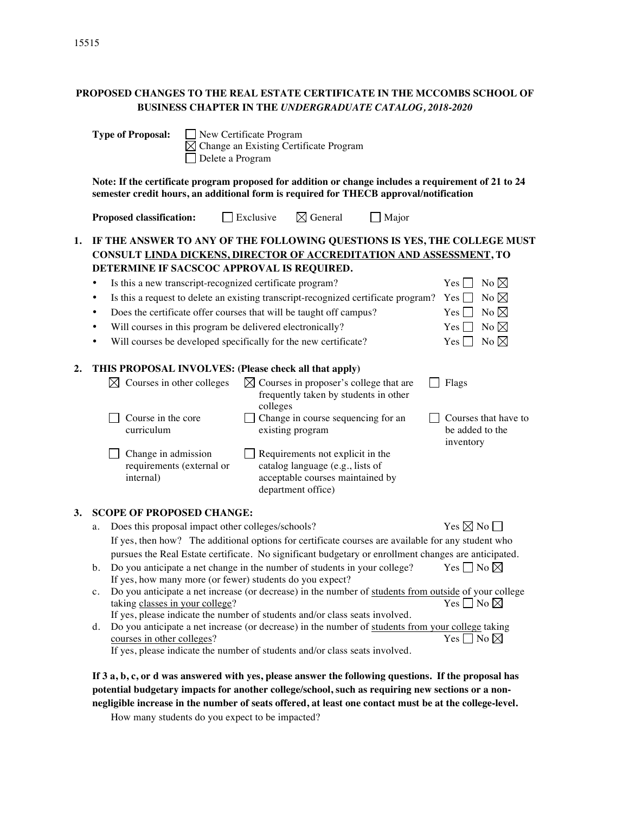# **PROPOSED CHANGES TO THE REAL ESTATE CERTIFICATE IN THE MCCOMBS SCHOOL OF BUSINESS CHAPTER IN THE** *UNDERGRADUATE CATALOG, 2018-2020*

|    | <b>Type of Proposal:</b><br>New Certificate Program<br>Change an Existing Certificate Program<br>Delete a Program                                                                                                                                                                                                                                                                                                                                                                                                                                                                                                                                                                                                                                                                                                                                                                                                                                                                                                                      |  |  |  |  |  |  |
|----|----------------------------------------------------------------------------------------------------------------------------------------------------------------------------------------------------------------------------------------------------------------------------------------------------------------------------------------------------------------------------------------------------------------------------------------------------------------------------------------------------------------------------------------------------------------------------------------------------------------------------------------------------------------------------------------------------------------------------------------------------------------------------------------------------------------------------------------------------------------------------------------------------------------------------------------------------------------------------------------------------------------------------------------|--|--|--|--|--|--|
|    | Note: If the certificate program proposed for addition or change includes a requirement of 21 to 24<br>semester credit hours, an additional form is required for THECB approval/notification                                                                                                                                                                                                                                                                                                                                                                                                                                                                                                                                                                                                                                                                                                                                                                                                                                           |  |  |  |  |  |  |
|    | $\boxtimes$ General<br>Exclusive<br><b>Major</b><br><b>Proposed classification:</b>                                                                                                                                                                                                                                                                                                                                                                                                                                                                                                                                                                                                                                                                                                                                                                                                                                                                                                                                                    |  |  |  |  |  |  |
| 1. | IF THE ANSWER TO ANY OF THE FOLLOWING QUESTIONS IS YES, THE COLLEGE MUST<br>CONSULT LINDA DICKENS, DIRECTOR OF ACCREDITATION AND ASSESSMENT, TO<br>DETERMINE IF SACSCOC APPROVAL IS REQUIRED.<br>No $\boxtimes$<br>Is this a new transcript-recognized certificate program?<br>$Yes \mid \mid$<br>٠<br>No $\boxtimes$<br>Is this a request to delete an existing transcript-recognized certificate program?<br>$Yes$    <br>٠<br>Does the certificate offer courses that will be taught off campus?<br>No $\boxtimes$<br>Yes<br>٠<br>No $\boxtimes$<br>Will courses in this program be delivered electronically?<br>$Yes \Box$<br>٠                                                                                                                                                                                                                                                                                                                                                                                                    |  |  |  |  |  |  |
|    | Will courses be developed specifically for the new certificate?<br>No $\boxtimes$<br>$Yes$ $\Box$<br>٠                                                                                                                                                                                                                                                                                                                                                                                                                                                                                                                                                                                                                                                                                                                                                                                                                                                                                                                                 |  |  |  |  |  |  |
| 2. | THIS PROPOSAL INVOLVES: (Please check all that apply)<br>$\boxtimes$ Courses in other colleges<br>$\boxtimes$ Courses in proposer's college that are<br>Flags<br>frequently taken by students in other<br>colleges<br>Change in course sequencing for an<br>Course in the core<br>Courses that have to<br>existing program<br>be added to the<br>curriculum<br>inventory<br>Change in admission<br>Requirements not explicit in the<br>catalog language (e.g., lists of<br>requirements (external or<br>acceptable courses maintained by<br>internal)<br>department office)                                                                                                                                                                                                                                                                                                                                                                                                                                                            |  |  |  |  |  |  |
| 3. | <b>SCOPE OF PROPOSED CHANGE:</b><br>Yes $\nabla \mathbb{N}$ No<br>Does this proposal impact other colleges/schools?<br>a.<br>If yes, then how? The additional options for certificate courses are available for any student who<br>pursues the Real Estate certificate. No significant budgetary or enrollment changes are anticipated.<br>Do you anticipate a net change in the number of students in your college?<br>Yes $\Box$ No $\boxtimes$<br>b.<br>If yes, how many more (or fewer) students do you expect?<br>Do you anticipate a net increase (or decrease) in the number of students from outside of your college<br>c.<br>Yes $\Box$ No $\boxtimes$<br>taking classes in your college?<br>If yes, please indicate the number of students and/or class seats involved.<br>Do you anticipate a net increase (or decrease) in the number of students from your college taking<br>d.<br>courses in other colleges?<br>Yes $\Box$ No $\boxtimes$<br>If yes, please indicate the number of students and/or class seats involved. |  |  |  |  |  |  |
|    | If 3 a, b, c, or d was answered with yes, please answer the following questions. If the proposal has                                                                                                                                                                                                                                                                                                                                                                                                                                                                                                                                                                                                                                                                                                                                                                                                                                                                                                                                   |  |  |  |  |  |  |

**potential budgetary impacts for another college/school, such as requiring new sections or a nonnegligible increase in the number of seats offered, at least one contact must be at the college-level.**

How many students do you expect to be impacted?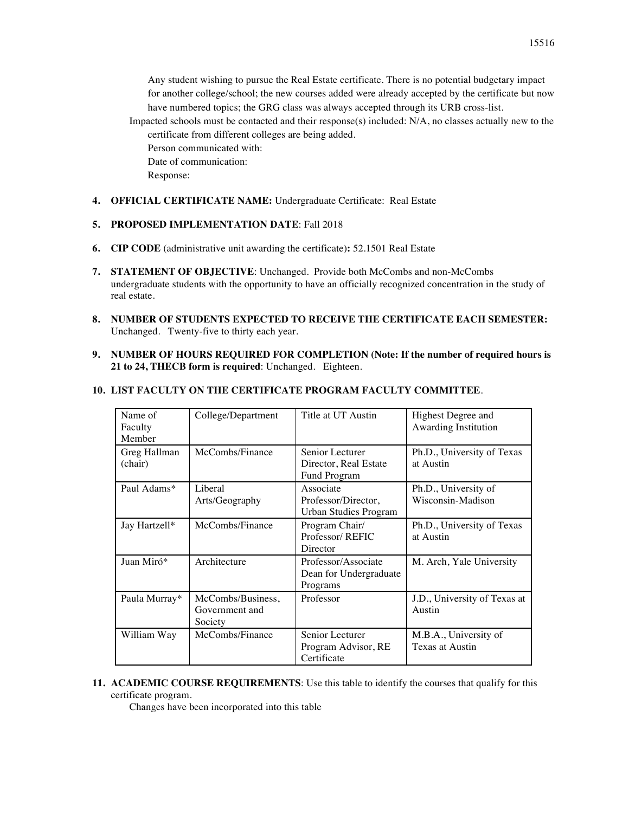Any student wishing to pursue the Real Estate certificate. There is no potential budgetary impact for another college/school; the new courses added were already accepted by the certificate but now have numbered topics; the GRG class was always accepted through its URB cross-list.

Impacted schools must be contacted and their response(s) included: N/A, no classes actually new to the certificate from different colleges are being added.

Person communicated with:

Date of communication:

Response:

### **4. OFFICIAL CERTIFICATE NAME:** Undergraduate Certificate: Real Estate

# **5. PROPOSED IMPLEMENTATION DATE**: Fall 2018

- **6. CIP CODE** (administrative unit awarding the certificate)**:** 52.1501 Real Estate
- **7. STATEMENT OF OBJECTIVE**: Unchanged. Provide both McCombs and non-McCombs undergraduate students with the opportunity to have an officially recognized concentration in the study of real estate.
- **8. NUMBER OF STUDENTS EXPECTED TO RECEIVE THE CERTIFICATE EACH SEMESTER:**  Unchanged. Twenty-five to thirty each year.
- **9. NUMBER OF HOURS REQUIRED FOR COMPLETION (Note: If the number of required hours is 21 to 24, THECB form is required**: Unchanged. Eighteen.

| Name of<br>Faculty<br>Member | College/Department                             | Title at UT Austin                                               | Highest Degree and<br>Awarding Institution |
|------------------------------|------------------------------------------------|------------------------------------------------------------------|--------------------------------------------|
| Greg Hallman<br>(chair)      | McCombs/Finance                                | Senior Lecturer<br>Director, Real Estate<br>Fund Program         | Ph.D., University of Texas<br>at Austin    |
| Paul Adams*                  | Liberal<br>Arts/Geography                      | Associate<br>Professor/Director,<br><b>Urban Studies Program</b> | Ph.D., University of<br>Wisconsin-Madison  |
| Jay Hartzell*                | McCombs/Finance                                | Program Chair/<br>Professor/REFIC<br>Director                    | Ph.D., University of Texas<br>at Austin    |
| Juan Miró*                   | Architecture                                   | Professor/Associate<br>Dean for Undergraduate<br>Programs        | M. Arch, Yale University                   |
| Paula Murray*                | McCombs/Business,<br>Government and<br>Society | Professor                                                        | J.D., University of Texas at<br>Austin     |
| William Way                  | McCombs/Finance                                | Senior Lecturer<br>Program Advisor, RE<br>Certificate            | M.B.A., University of<br>Texas at Austin   |

### **10. LIST FACULTY ON THE CERTIFICATE PROGRAM FACULTY COMMITTEE**.

**11. ACADEMIC COURSE REQUIREMENTS**: Use this table to identify the courses that qualify for this certificate program.

Changes have been incorporated into this table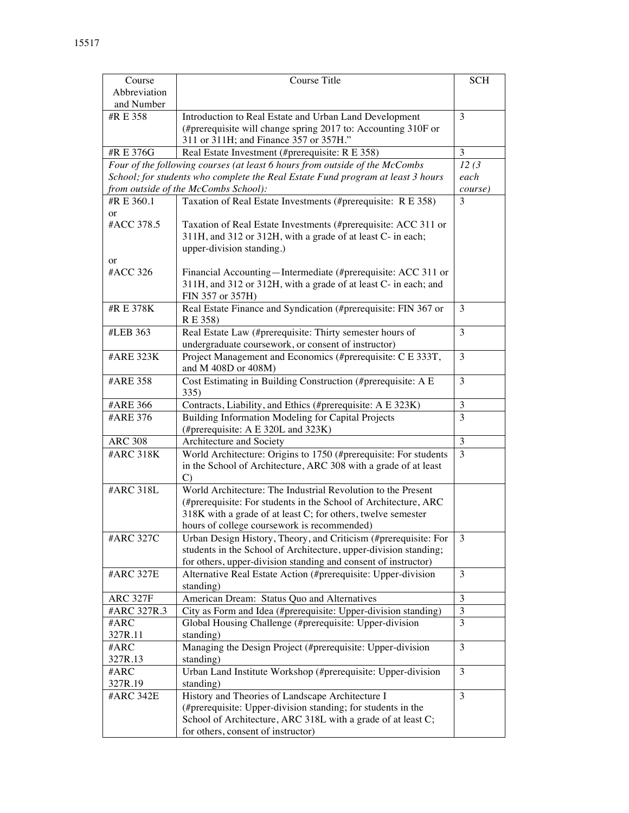| Course          | Course Title                                                                     | <b>SCH</b>                  |  |
|-----------------|----------------------------------------------------------------------------------|-----------------------------|--|
| Abbreviation    |                                                                                  |                             |  |
| and Number      |                                                                                  |                             |  |
|                 |                                                                                  | 3                           |  |
| #R E 358        | Introduction to Real Estate and Urban Land Development                           |                             |  |
|                 | (#prerequisite will change spring 2017 to: Accounting 310F or                    |                             |  |
|                 | 311 or 311H; and Finance 357 or 357H."                                           | 3                           |  |
| #R E 376G       | Real Estate Investment (#prerequisite: R E 358)                                  |                             |  |
|                 | Four of the following courses (at least 6 hours from outside of the McCombs      | 12(3)                       |  |
|                 | School; for students who complete the Real Estate Fund program at least 3 hours  | each                        |  |
|                 | from outside of the McCombs School):                                             | course)                     |  |
| #R E 360.1      | Taxation of Real Estate Investments (#prerequisite: R E 358)                     | 3                           |  |
| <sub>or</sub>   |                                                                                  |                             |  |
| #ACC 378.5      | Taxation of Real Estate Investments (#prerequisite: ACC 311 or                   |                             |  |
|                 | 311H, and 312 or 312H, with a grade of at least C- in each;                      |                             |  |
|                 | upper-division standing.)                                                        |                             |  |
| or              |                                                                                  |                             |  |
| #ACC 326        | Financial Accounting—Intermediate (#prerequisite: ACC 311 or                     |                             |  |
|                 | 311H, and 312 or 312H, with a grade of at least C- in each; and                  |                             |  |
|                 | FIN 357 or 357H)                                                                 |                             |  |
| #R E 378K       |                                                                                  |                             |  |
|                 | Real Estate Finance and Syndication (#prerequisite: FIN 367 or                   | 3                           |  |
|                 | R E 358)                                                                         |                             |  |
| #LEB 363        | Real Estate Law (#prerequisite: Thirty semester hours of                         | 3                           |  |
|                 | undergraduate coursework, or consent of instructor)                              |                             |  |
| #ARE 323K       | Project Management and Economics (#prerequisite: C E 333T,                       | 3                           |  |
|                 | and M 408D or 408M)                                                              |                             |  |
| #ARE 358        | Cost Estimating in Building Construction (#prerequisite: A E                     | 3                           |  |
|                 | 335)                                                                             |                             |  |
| #ARE 366        | Contracts, Liability, and Ethics (#prerequisite: A E 323K)                       | 3                           |  |
| #ARE 376        | Building Information Modeling for Capital Projects                               | 3                           |  |
|                 | (#prerequisite: A E 320L and 323K)                                               |                             |  |
| <b>ARC 308</b>  | Architecture and Society                                                         | $\mathfrak{Z}$              |  |
| #ARC 318K       | World Architecture: Origins to 1750 (#prerequisite: For students                 | 3                           |  |
|                 |                                                                                  |                             |  |
|                 | in the School of Architecture, ARC 308 with a grade of at least<br>$\mathcal{C}$ |                             |  |
|                 |                                                                                  |                             |  |
| #ARC 318L       | World Architecture: The Industrial Revolution to the Present                     |                             |  |
|                 | (#prerequisite: For students in the School of Architecture, ARC                  |                             |  |
|                 | 318K with a grade of at least C; for others, twelve semester                     |                             |  |
|                 | hours of college coursework is recommended)                                      |                             |  |
| #ARC 327C       | Urban Design History, Theory, and Criticism (#prerequisite: For                  | 3                           |  |
|                 | students in the School of Architecture, upper-division standing;                 |                             |  |
|                 | for others, upper-division standing and consent of instructor)                   |                             |  |
| #ARC 327E       | Alternative Real Estate Action (#prerequisite: Upper-division                    | 3                           |  |
|                 | standing)                                                                        |                             |  |
| <b>ARC 327F</b> | American Dream: Status Quo and Alternatives                                      | 3                           |  |
| #ARC 327R.3     | City as Form and Idea (#prerequisite: Upper-division standing)                   | $\ensuremath{\mathfrak{Z}}$ |  |
| #ARC            | Global Housing Challenge (#prerequisite: Upper-division                          | 3                           |  |
| 327R.11         | standing)                                                                        |                             |  |
| #ARC            | Managing the Design Project (#prerequisite: Upper-division                       |                             |  |
| 327R.13         | standing)                                                                        | 3                           |  |
|                 |                                                                                  |                             |  |
| #ARC            | Urban Land Institute Workshop (#prerequisite: Upper-division                     | 3                           |  |
| 327R.19         | standing)                                                                        |                             |  |
| #ARC 342E       | History and Theories of Landscape Architecture I                                 | 3                           |  |
|                 | (#prerequisite: Upper-division standing; for students in the                     |                             |  |
|                 | School of Architecture, ARC 318L with a grade of at least C;                     |                             |  |
|                 | for others, consent of instructor)                                               |                             |  |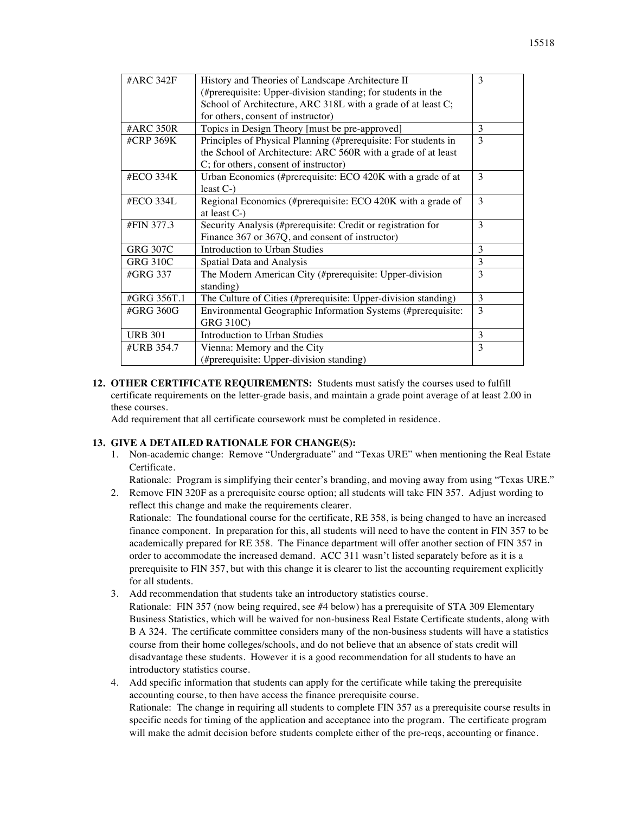| #ARC 342F       | History and Theories of Landscape Architecture II               | 3 |
|-----------------|-----------------------------------------------------------------|---|
|                 | (#prerequisite: Upper-division standing; for students in the    |   |
|                 | School of Architecture, ARC 318L with a grade of at least C;    |   |
|                 | for others, consent of instructor)                              |   |
| #ARC 350R       | Topics in Design Theory [must be pre-approved]                  | 3 |
| #CRP 369K       | Principles of Physical Planning (#prerequisite: For students in | 3 |
|                 | the School of Architecture: ARC 560R with a grade of at least   |   |
|                 | C; for others, consent of instructor)                           |   |
| #ECO 334K       | Urban Economics (#prerequisite: ECO 420K with a grade of at     | 3 |
|                 | least $C-$                                                      |   |
| #ECO 334L       | Regional Economics (#prerequisite: ECO 420K with a grade of     | 3 |
|                 | at least $C$ - $)$                                              |   |
| #FIN 377.3      | Security Analysis (#prerequisite: Credit or registration for    | 3 |
|                 | Finance 367 or 367Q, and consent of instructor)                 |   |
| <b>GRG 307C</b> | Introduction to Urban Studies                                   | 3 |
| <b>GRG 310C</b> | Spatial Data and Analysis                                       | 3 |
| #GRG 337        | The Modern American City (#prerequisite: Upper-division         | 3 |
|                 | standing)                                                       |   |
| #GRG 356T.1     | The Culture of Cities (#prerequisite: Upper-division standing)  | 3 |
| #GRG 360G       | Environmental Geographic Information Systems (#prerequisite:    | 3 |
|                 | <b>GRG 310C)</b>                                                |   |
| <b>URB 301</b>  | Introduction to Urban Studies                                   | 3 |
| #URB 354.7      | Vienna: Memory and the City                                     | 3 |
|                 | (#prerequisite: Upper-division standing)                        |   |
|                 |                                                                 |   |

**12. OTHER CERTIFICATE REQUIREMENTS:** Students must satisfy the courses used to fulfill certificate requirements on the letter-grade basis, and maintain a grade point average of at least 2.00 in these courses.

Add requirement that all certificate coursework must be completed in residence.

### **13. GIVE A DETAILED RATIONALE FOR CHANGE(S):**

1. Non-academic change: Remove "Undergraduate" and "Texas URE" when mentioning the Real Estate Certificate.

Rationale: Program is simplifying their center's branding, and moving away from using "Texas URE."

- 2. Remove FIN 320F as a prerequisite course option; all students will take FIN 357. Adjust wording to reflect this change and make the requirements clearer. Rationale: The foundational course for the certificate, RE 358, is being changed to have an increased finance component. In preparation for this, all students will need to have the content in FIN 357 to be academically prepared for RE 358. The Finance department will offer another section of FIN 357 in order to accommodate the increased demand. ACC 311 wasn't listed separately before as it is a prerequisite to FIN 357, but with this change it is clearer to list the accounting requirement explicitly for all students.
- 3. Add recommendation that students take an introductory statistics course.
	- Rationale: FIN 357 (now being required, see #4 below) has a prerequisite of STA 309 Elementary Business Statistics, which will be waived for non-business Real Estate Certificate students, along with B A 324. The certificate committee considers many of the non-business students will have a statistics course from their home colleges/schools, and do not believe that an absence of stats credit will disadvantage these students. However it is a good recommendation for all students to have an introductory statistics course.
- 4. Add specific information that students can apply for the certificate while taking the prerequisite accounting course, to then have access the finance prerequisite course. Rationale: The change in requiring all students to complete FIN 357 as a prerequisite course results in specific needs for timing of the application and acceptance into the program. The certificate program will make the admit decision before students complete either of the pre-reqs, accounting or finance.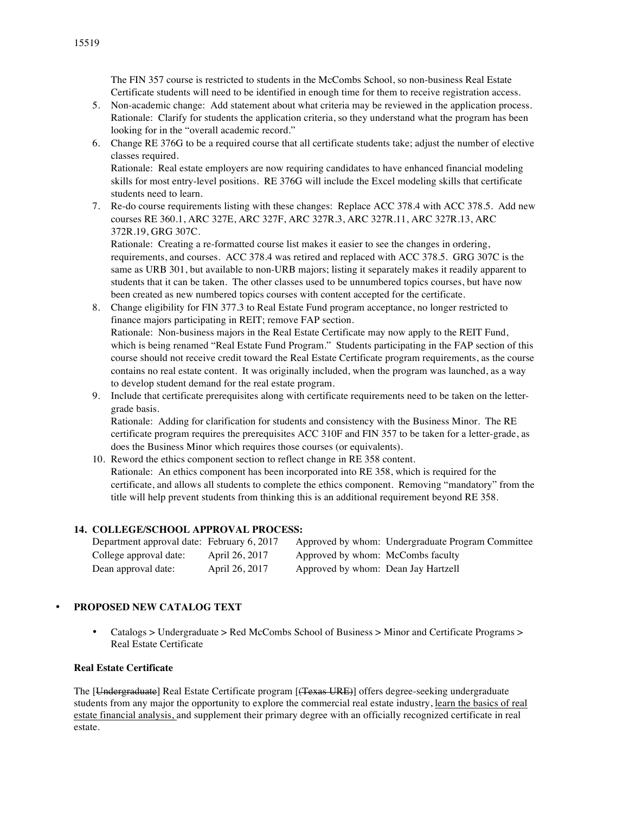The FIN 357 course is restricted to students in the McCombs School, so non-business Real Estate Certificate students will need to be identified in enough time for them to receive registration access.

- 5. Non-academic change: Add statement about what criteria may be reviewed in the application process. Rationale: Clarify for students the application criteria, so they understand what the program has been looking for in the "overall academic record."
- 6. Change RE 376G to be a required course that all certificate students take; adjust the number of elective classes required.

Rationale: Real estate employers are now requiring candidates to have enhanced financial modeling skills for most entry-level positions. RE 376G will include the Excel modeling skills that certificate students need to learn.

7. Re-do course requirements listing with these changes: Replace ACC 378.4 with ACC 378.5. Add new courses RE 360.1, ARC 327E, ARC 327F, ARC 327R.3, ARC 327R.11, ARC 327R.13, ARC 372R.19, GRG 307C.

Rationale: Creating a re-formatted course list makes it easier to see the changes in ordering, requirements, and courses. ACC 378.4 was retired and replaced with ACC 378.5. GRG 307C is the same as URB 301, but available to non-URB majors; listing it separately makes it readily apparent to students that it can be taken. The other classes used to be unnumbered topics courses, but have now been created as new numbered topics courses with content accepted for the certificate.

- 8. Change eligibility for FIN 377.3 to Real Estate Fund program acceptance, no longer restricted to finance majors participating in REIT; remove FAP section. Rationale: Non-business majors in the Real Estate Certificate may now apply to the REIT Fund, which is being renamed "Real Estate Fund Program." Students participating in the FAP section of this course should not receive credit toward the Real Estate Certificate program requirements, as the course contains no real estate content. It was originally included, when the program was launched, as a way to develop student demand for the real estate program.
- 9. Include that certificate prerequisites along with certificate requirements need to be taken on the lettergrade basis.

Rationale: Adding for clarification for students and consistency with the Business Minor. The RE certificate program requires the prerequisites ACC 310F and FIN 357 to be taken for a letter-grade, as does the Business Minor which requires those courses (or equivalents).

10. Reword the ethics component section to reflect change in RE 358 content. Rationale: An ethics component has been incorporated into RE 358, which is required for the certificate, and allows all students to complete the ethics component. Removing "mandatory" from the title will help prevent students from thinking this is an additional requirement beyond RE 358.

### **14. COLLEGE/SCHOOL APPROVAL PROCESS:**

| Department approval date: February 6, 2017 |                |                                     | Approved by whom: Undergraduate Program Committee |
|--------------------------------------------|----------------|-------------------------------------|---------------------------------------------------|
| College approval date:                     | April 26, 2017 | Approved by whom: McCombs faculty   |                                                   |
| Dean approval date:                        | April 26, 2017 | Approved by whom: Dean Jay Hartzell |                                                   |

### • **PROPOSED NEW CATALOG TEXT**

• Catalogs > Undergraduate > Red McCombs School of Business > Minor and Certificate Programs > Real Estate Certificate

### **Real Estate Certificate**

The [Undergraduate] Real Estate Certificate program [(Texas URE)] offers degree-seeking undergraduate students from any major the opportunity to explore the commercial real estate industry, learn the basics of real estate financial analysis, and supplement their primary degree with an officially recognized certificate in real estate.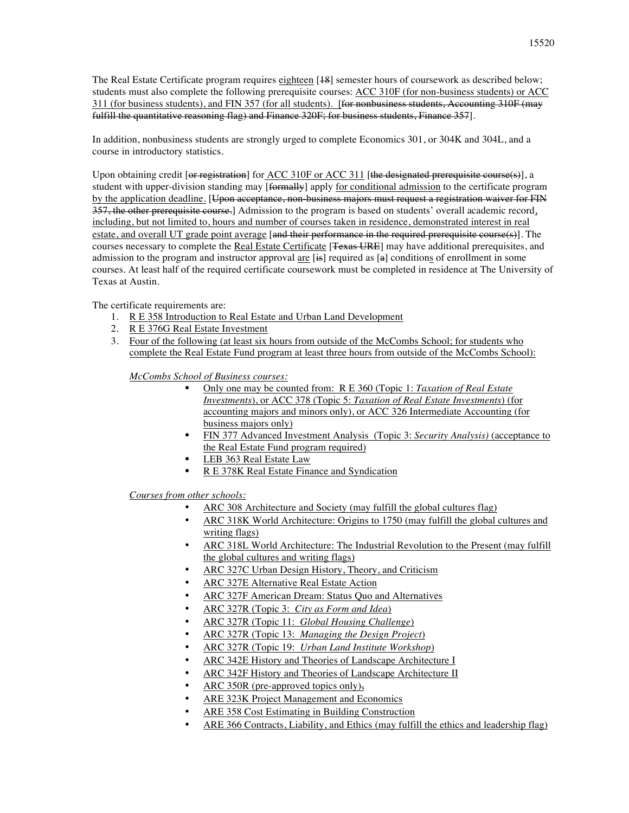The Real Estate Certificate program requires eighteen [18] semester hours of coursework as described below; students must also complete the following prerequisite courses: ACC 310F (for non-business students) or ACC 311 (for business students), and FIN 357 (for all students). [for nonbusiness students, Accounting 310F (may fulfill the quantitative reasoning flag) and Finance 320F; for business students, Finance 357].

In addition, nonbusiness students are strongly urged to complete Economics 301, or 304K and 304L, and a course in introductory statistics.

Upon obtaining credit [or registration] for ACC 310F or ACC 311 [the designated prerequisite course(s)], a student with upper-division standing may [formally] apply for conditional admission to the certificate program by the application deadline. [Upon acceptance, non-business majors must request a registration waiver for FIN 357, the other prerequisite course.] Admission to the program is based on students' overall academic record, including, but not limited to, hours and number of courses taken in residence, demonstrated interest in real estate, and overall UT grade point average [and their performance in the required prerequisite course(s)]. The courses necessary to complete the Real Estate Certificate [<del>Texas URE</del>] may have additional prerequisites, and admission to the program and instructor approval are  $[\frac{1}{2}$  required as  $[\frac{1}{2}]$  conditions of enrollment in some courses. At least half of the required certificate coursework must be completed in residence at The University of Texas at Austin.

The certificate requirements are:

- 1. R E 358 Introduction to Real Estate and Urban Land Development
- 2. R E 376G Real Estate Investment
- 3. Four of the following (at least six hours from outside of the McCombs School; for students who complete the Real Estate Fund program at least three hours from outside of the McCombs School):

*McCombs School of Business courses:*

- § Only one may be counted from: R E 360 (Topic 1: *Taxation of Real Estate Investments*), or ACC 378 (Topic 5: *Taxation of Real Estate Investments*) (for accounting majors and minors only), or ACC 326 Intermediate Accounting (for business majors only)
- § FIN 377 Advanced Investment Analysis (Topic 3: *Security Analysis)* (acceptance to the Real Estate Fund program required)
- LEB 363 Real Estate Law
- R E 378K Real Estate Finance and Syndication

*Courses from other schools:*

- ARC 308 Architecture and Society (may fulfill the global cultures flag)
- ARC 318K World Architecture: Origins to 1750 (may fulfill the global cultures and writing flags)
- ARC 318L World Architecture: The Industrial Revolution to the Present (may fulfill the global cultures and writing flags)
- ARC 327C Urban Design History, Theory, and Criticism
- ARC 327E Alternative Real Estate Action
- ARC 327F American Dream: Status Quo and Alternatives
- ARC 327R (Topic 3: *City as Form and Idea*)
- ARC 327R (Topic 11: *Global Housing Challenge*)
- ARC 327R (Topic 13: *Managing the Design Project*)
- ARC 327R (Topic 19: *Urban Land Institute Workshop*)
- ARC 342E History and Theories of Landscape Architecture I
- ARC 342F History and Theories of Landscape Architecture II
- ARC 350R (pre-approved topics only),
- ARE 323K Project Management and Economics
- ARE 358 Cost Estimating in Building Construction
- ARE 366 Contracts, Liability, and Ethics (may fulfill the ethics and leadership flag)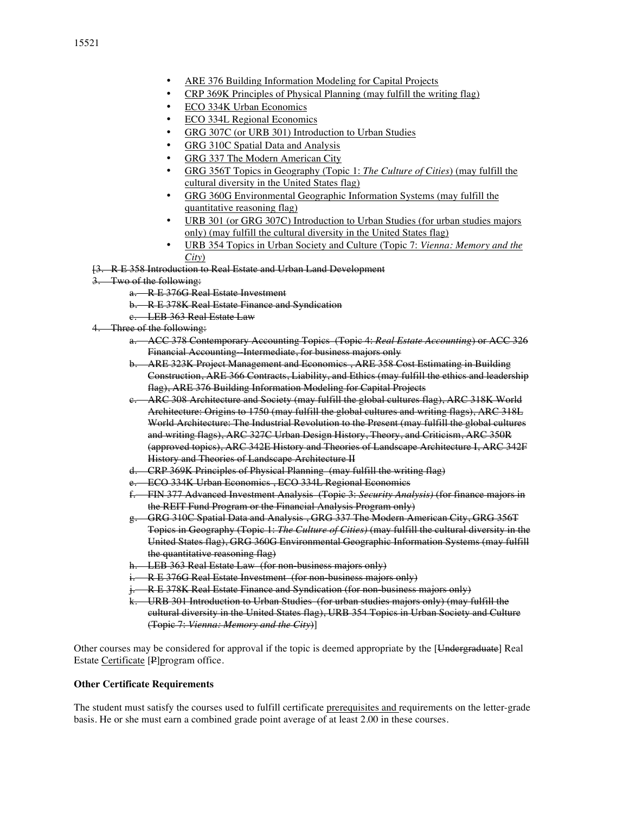- ARE 376 Building Information Modeling for Capital Projects
- CRP 369K Principles of Physical Planning (may fulfill the writing flag)
- **ECO 334K Urban Economics**
- ECO 334L Regional Economics
- GRG 307C (or URB 301) Introduction to Urban Studies
- GRG 310C Spatial Data and Analysis
- GRG 337 The Modern American City
- GRG 356T Topics in Geography (Topic 1: *The Culture of Cities*) (may fulfill the cultural diversity in the United States flag)
- GRG 360G Environmental Geographic Information Systems (may fulfill the quantitative reasoning flag)
- URB 301 (or GRG 307C) Introduction to Urban Studies (for urban studies majors only) (may fulfill the cultural diversity in the United States flag)
- URB 354 Topics in Urban Society and Culture (Topic 7: *Vienna: Memory and the City*)
- [3. R E 358 Introduction to Real Estate and Urban Land Development
- Two of the following:
	- a. R E 376G Real Estate Investment
	- b. R E 378K Real Estate Finance and Syndication
	- c. LEB 363 Real Estate Law
- 4. Three of the following:
	- a. ACC 378 Contemporary Accounting Topics (Topic 4: *Real Estate Accounting*) or ACC 326 Financial Accounting Intermediate, for business majors only
	- b. ARE 323K Project Management and Economics , ARE 358 Cost Estimating in Building Construction, ARE 366 Contracts, Liability, and Ethics (may fulfill the ethics and leadership flag), ARE 376 Building Information Modeling for Capital Projects
	- ARC 308 Architecture and Society (may fulfill the global cultures flag), ARC 318K World Architecture: Origins to 1750 (may fulfill the global cultures and writing flags), ARC 318L World Architecture: The Industrial Revolution to the Present (may fulfill the global cultures and writing flags), ARC 327C Urban Design History, Theory, and Criticism, ARC 350R (approved topics), ARC 342E History and Theories of Landscape Architecture I, ARC 342F History and Theories of Landscape Architecture II
	- d. CRP 369K Principles of Physical Planning (may fulfill the writing flag)
	- e. ECO 334K Urban Economics , ECO 334L Regional Economics
	- f. FIN 377 Advanced Investment Analysis (Topic 3: *Security Analysis)* (for finance majors in the REIT Fund Program or the Financial Analysis Program only)
	- g. GRG 310C Spatial Data and Analysis , GRG 337 The Modern American City, GRG 356T Topics in Geography (Topic 1: *The Culture of Cities)* (may fulfill the cultural diversity in the United States flag), GRG 360G Environmental Geographic Information Systems (may fulfill the quantitative reasoning flag)
	- h. LEB 363 Real Estate Law (for non-business majors only)
	- **R E 376G Real Estate Investment (for non-business majors only)**
	- R E 378K Real Estate Finance and Syndication (for non-business majors only)
	- k. URB 301 Introduction to Urban Studies (for urban studies majors only) (may fulfill the cultural diversity in the United States flag), URB 354 Topics in Urban Society and Culture (Topic 7: *Vienna: Memory and the City*)]

Other courses may be considered for approval if the topic is deemed appropriate by the [Undergraduate] Real Estate Certificate [P]program office.

#### **Other Certificate Requirements**

The student must satisfy the courses used to fulfill certificate prerequisites and requirements on the letter-grade basis. He or she must earn a combined grade point average of at least 2.00 in these courses.